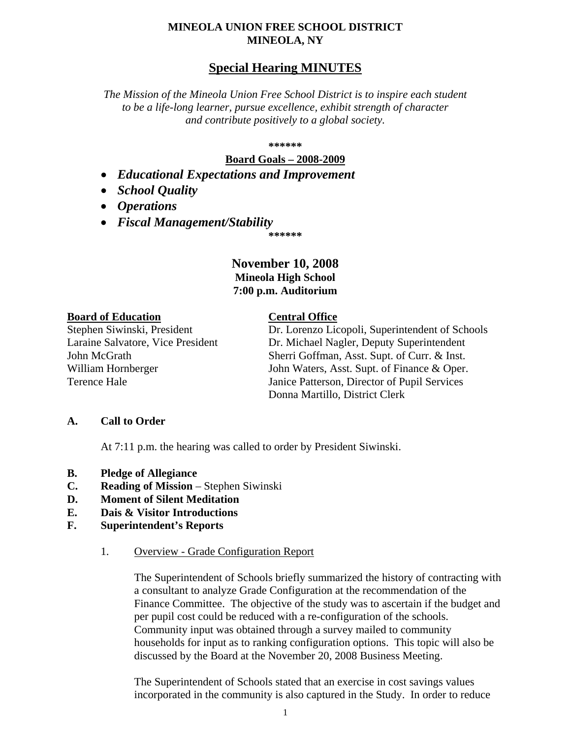### **MINEOLA UNION FREE SCHOOL DISTRICT MINEOLA, NY**

# **Special Hearing MINUTES**

*The Mission of the Mineola Union Free School District is to inspire each student to be a life-long learner, pursue excellence, exhibit strength of character and contribute positively to a global society.*

#### **\*\*\*\*\*\***

### **Board Goals – 2008-2009**

- *Educational Expectations and Improvement*
- *School Quality*
- *Operations*
- *Fiscal Management/Stability*

**\*\*\*\*\*\***

## **November 10, 2008 Mineola High School 7:00 p.m. Auditorium**

### **Board of Education Central Office**

Stephen Siwinski, President Dr. Lorenzo Licopoli, Superintendent of Schools Laraine Salvatore, Vice President Dr. Michael Nagler, Deputy Superintendent John McGrath Sherri Goffman, Asst. Supt. of Curr. & Inst. William Hornberger John Waters, Asst. Supt. of Finance & Oper. Terence Hale Janice Patterson, Director of Pupil Services Donna Martillo, District Clerk

### **A. Call to Order**

At 7:11 p.m. the hearing was called to order by President Siwinski.

- **B. Pledge of Allegiance**
- **C. Reading of Mission** Stephen Siwinski
- **D. Moment of Silent Meditation**
- **E. Dais & Visitor Introductions**
- **F. Superintendent's Reports**
	- 1. Overview Grade Configuration Report

The Superintendent of Schools briefly summarized the history of contracting with a consultant to analyze Grade Configuration at the recommendation of the Finance Committee. The objective of the study was to ascertain if the budget and per pupil cost could be reduced with a re-configuration of the schools. Community input was obtained through a survey mailed to community households for input as to ranking configuration options. This topic will also be discussed by the Board at the November 20, 2008 Business Meeting.

The Superintendent of Schools stated that an exercise in cost savings values incorporated in the community is also captured in the Study. In order to reduce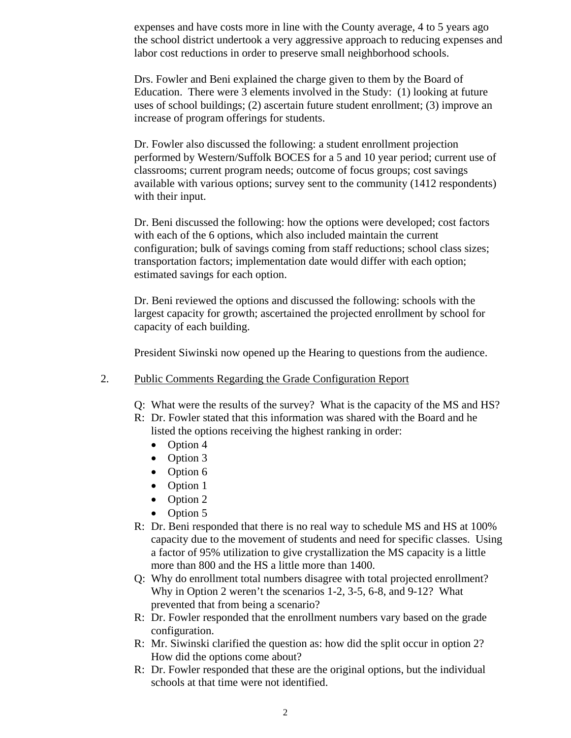expenses and have costs more in line with the County average, 4 to 5 years ago the school district undertook a very aggressive approach to reducing expenses and labor cost reductions in order to preserve small neighborhood schools.

Drs. Fowler and Beni explained the charge given to them by the Board of Education. There were 3 elements involved in the Study: (1) looking at future uses of school buildings; (2) ascertain future student enrollment; (3) improve an increase of program offerings for students.

Dr. Fowler also discussed the following: a student enrollment projection performed by Western/Suffolk BOCES for a 5 and 10 year period; current use of classrooms; current program needs; outcome of focus groups; cost savings available with various options; survey sent to the community (1412 respondents) with their input.

Dr. Beni discussed the following: how the options were developed; cost factors with each of the 6 options, which also included maintain the current configuration; bulk of savings coming from staff reductions; school class sizes; transportation factors; implementation date would differ with each option; estimated savings for each option.

Dr. Beni reviewed the options and discussed the following: schools with the largest capacity for growth; ascertained the projected enrollment by school for capacity of each building.

President Siwinski now opened up the Hearing to questions from the audience.

- 2. Public Comments Regarding the Grade Configuration Report
	- Q: What were the results of the survey? What is the capacity of the MS and HS?
	- R: Dr. Fowler stated that this information was shared with the Board and he listed the options receiving the highest ranking in order:
		- Option 4
		- Option 3
		- Option 6
		- Option 1
		- Option 2
		- Option 5
	- R: Dr. Beni responded that there is no real way to schedule MS and HS at 100% capacity due to the movement of students and need for specific classes. Using a factor of 95% utilization to give crystallization the MS capacity is a little more than 800 and the HS a little more than 1400.
	- Q: Why do enrollment total numbers disagree with total projected enrollment? Why in Option 2 weren't the scenarios 1-2, 3-5, 6-8, and 9-12? What prevented that from being a scenario?
	- R: Dr. Fowler responded that the enrollment numbers vary based on the grade configuration.
	- R: Mr. Siwinski clarified the question as: how did the split occur in option 2? How did the options come about?
	- R: Dr. Fowler responded that these are the original options, but the individual schools at that time were not identified.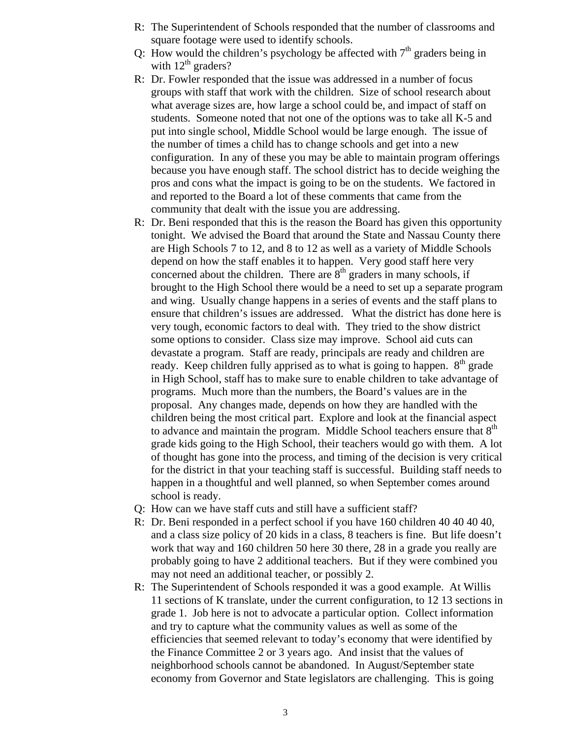- R: The Superintendent of Schools responded that the number of classrooms and square footage were used to identify schools.
- Q: How would the children's psychology be affected with  $7<sup>th</sup>$  graders being in with  $12^{th}$  graders?
- R: Dr. Fowler responded that the issue was addressed in a number of focus groups with staff that work with the children. Size of school research about what average sizes are, how large a school could be, and impact of staff on students. Someone noted that not one of the options was to take all K-5 and put into single school, Middle School would be large enough. The issue of the number of times a child has to change schools and get into a new configuration. In any of these you may be able to maintain program offerings because you have enough staff. The school district has to decide weighing the pros and cons what the impact is going to be on the students. We factored in and reported to the Board a lot of these comments that came from the community that dealt with the issue you are addressing.
- R: Dr. Beni responded that this is the reason the Board has given this opportunity tonight. We advised the Board that around the State and Nassau County there are High Schools 7 to 12, and 8 to 12 as well as a variety of Middle Schools depend on how the staff enables it to happen. Very good staff here very concerned about the children. There are  $8<sup>th</sup>$  graders in many schools, if brought to the High School there would be a need to set up a separate program and wing. Usually change happens in a series of events and the staff plans to ensure that children's issues are addressed. What the district has done here is very tough, economic factors to deal with. They tried to the show district some options to consider. Class size may improve. School aid cuts can devastate a program. Staff are ready, principals are ready and children are ready. Keep children fully apprised as to what is going to happen.  $8<sup>th</sup>$  grade in High School, staff has to make sure to enable children to take advantage of programs. Much more than the numbers, the Board's values are in the proposal. Any changes made, depends on how they are handled with the children being the most critical part. Explore and look at the financial aspect to advance and maintain the program. Middle School teachers ensure that 8<sup>th</sup> grade kids going to the High School, their teachers would go with them. A lot of thought has gone into the process, and timing of the decision is very critical for the district in that your teaching staff is successful. Building staff needs to happen in a thoughtful and well planned, so when September comes around school is ready.
- Q: How can we have staff cuts and still have a sufficient staff?
- R: Dr. Beni responded in a perfect school if you have 160 children 40 40 40 40, and a class size policy of 20 kids in a class, 8 teachers is fine. But life doesn't work that way and 160 children 50 here 30 there, 28 in a grade you really are probably going to have 2 additional teachers. But if they were combined you may not need an additional teacher, or possibly 2.
- R: The Superintendent of Schools responded it was a good example. At Willis 11 sections of K translate, under the current configuration, to 12 13 sections in grade 1. Job here is not to advocate a particular option. Collect information and try to capture what the community values as well as some of the efficiencies that seemed relevant to today's economy that were identified by the Finance Committee 2 or 3 years ago. And insist that the values of neighborhood schools cannot be abandoned. In August/September state economy from Governor and State legislators are challenging. This is going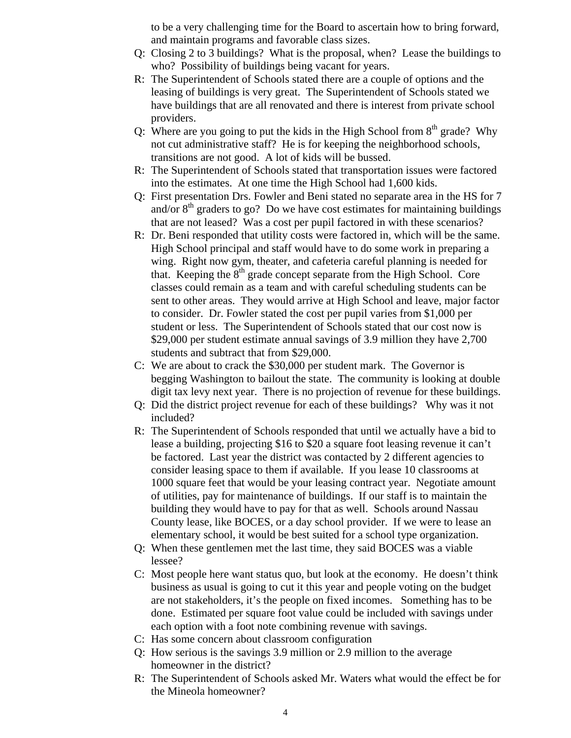to be a very challenging time for the Board to ascertain how to bring forward, and maintain programs and favorable class sizes.

- Q: Closing 2 to 3 buildings? What is the proposal, when? Lease the buildings to who? Possibility of buildings being vacant for years.
- R: The Superintendent of Schools stated there are a couple of options and the leasing of buildings is very great. The Superintendent of Schools stated we have buildings that are all renovated and there is interest from private school providers.
- Q: Where are you going to put the kids in the High School from  $8<sup>th</sup>$  grade? Why not cut administrative staff? He is for keeping the neighborhood schools, transitions are not good. A lot of kids will be bussed.
- R: The Superintendent of Schools stated that transportation issues were factored into the estimates. At one time the High School had 1,600 kids.
- Q: First presentation Drs. Fowler and Beni stated no separate area in the HS for 7 and/or  $8<sup>th</sup>$  graders to go? Do we have cost estimates for maintaining buildings that are not leased? Was a cost per pupil factored in with these scenarios?
- R: Dr. Beni responded that utility costs were factored in, which will be the same. High School principal and staff would have to do some work in preparing a wing. Right now gym, theater, and cafeteria careful planning is needed for that. Keeping the  $8<sup>th</sup>$  grade concept separate from the High School. Core classes could remain as a team and with careful scheduling students can be sent to other areas. They would arrive at High School and leave, major factor to consider. Dr. Fowler stated the cost per pupil varies from \$1,000 per student or less. The Superintendent of Schools stated that our cost now is \$29,000 per student estimate annual savings of 3.9 million they have 2,700 students and subtract that from \$29,000.
- C: We are about to crack the \$30,000 per student mark. The Governor is begging Washington to bailout the state. The community is looking at double digit tax levy next year. There is no projection of revenue for these buildings.
- Q: Did the district project revenue for each of these buildings? Why was it not included?
- R: The Superintendent of Schools responded that until we actually have a bid to lease a building, projecting \$16 to \$20 a square foot leasing revenue it can't be factored. Last year the district was contacted by 2 different agencies to consider leasing space to them if available. If you lease 10 classrooms at 1000 square feet that would be your leasing contract year. Negotiate amount of utilities, pay for maintenance of buildings. If our staff is to maintain the building they would have to pay for that as well. Schools around Nassau County lease, like BOCES, or a day school provider. If we were to lease an elementary school, it would be best suited for a school type organization.
- Q: When these gentlemen met the last time, they said BOCES was a viable lessee?
- C: Most people here want status quo, but look at the economy. He doesn't think business as usual is going to cut it this year and people voting on the budget are not stakeholders, it's the people on fixed incomes. Something has to be done. Estimated per square foot value could be included with savings under each option with a foot note combining revenue with savings.
- C: Has some concern about classroom configuration
- Q: How serious is the savings 3.9 million or 2.9 million to the average homeowner in the district?
- R: The Superintendent of Schools asked Mr. Waters what would the effect be for the Mineola homeowner?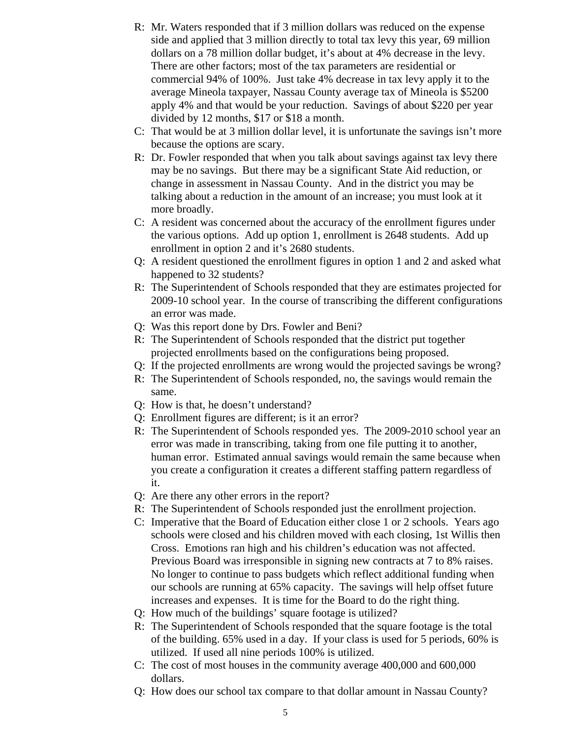- R: Mr. Waters responded that if 3 million dollars was reduced on the expense side and applied that 3 million directly to total tax levy this year, 69 million dollars on a 78 million dollar budget, it's about at 4% decrease in the levy. There are other factors; most of the tax parameters are residential or commercial 94% of 100%. Just take 4% decrease in tax levy apply it to the average Mineola taxpayer, Nassau County average tax of Mineola is \$5200 apply 4% and that would be your reduction. Savings of about \$220 per year divided by 12 months, \$17 or \$18 a month.
- C: That would be at 3 million dollar level, it is unfortunate the savings isn't more because the options are scary.
- R: Dr. Fowler responded that when you talk about savings against tax levy there may be no savings. But there may be a significant State Aid reduction, or change in assessment in Nassau County. And in the district you may be talking about a reduction in the amount of an increase; you must look at it more broadly.
- C: A resident was concerned about the accuracy of the enrollment figures under the various options. Add up option 1, enrollment is 2648 students. Add up enrollment in option 2 and it's 2680 students.
- Q: A resident questioned the enrollment figures in option 1 and 2 and asked what happened to 32 students?
- R: The Superintendent of Schools responded that they are estimates projected for 2009-10 school year. In the course of transcribing the different configurations an error was made.
- Q: Was this report done by Drs. Fowler and Beni?
- R: The Superintendent of Schools responded that the district put together projected enrollments based on the configurations being proposed.
- Q: If the projected enrollments are wrong would the projected savings be wrong?
- R: The Superintendent of Schools responded, no, the savings would remain the same.
- Q: How is that, he doesn't understand?
- Q: Enrollment figures are different; is it an error?
- R: The Superintendent of Schools responded yes. The 2009-2010 school year an error was made in transcribing, taking from one file putting it to another, human error. Estimated annual savings would remain the same because when you create a configuration it creates a different staffing pattern regardless of it.
- Q: Are there any other errors in the report?
- R: The Superintendent of Schools responded just the enrollment projection.
- C: Imperative that the Board of Education either close 1 or 2 schools. Years ago schools were closed and his children moved with each closing, 1st Willis then Cross. Emotions ran high and his children's education was not affected. Previous Board was irresponsible in signing new contracts at 7 to 8% raises. No longer to continue to pass budgets which reflect additional funding when our schools are running at 65% capacity. The savings will help offset future increases and expenses. It is time for the Board to do the right thing.
- Q: How much of the buildings' square footage is utilized?
- R: The Superintendent of Schools responded that the square footage is the total of the building. 65% used in a day. If your class is used for 5 periods, 60% is utilized. If used all nine periods 100% is utilized.
- C: The cost of most houses in the community average 400,000 and 600,000 dollars.
- Q: How does our school tax compare to that dollar amount in Nassau County?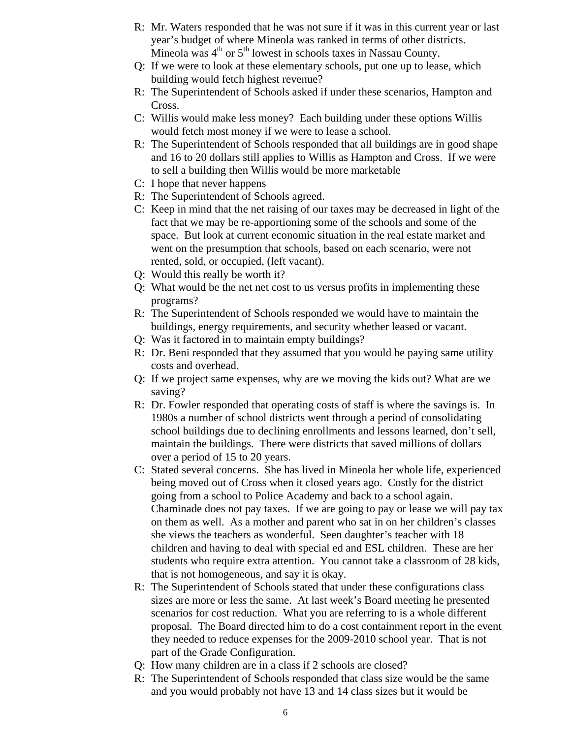- R: Mr. Waters responded that he was not sure if it was in this current year or last year's budget of where Mineola was ranked in terms of other districts. Mineola was  $4<sup>th</sup>$  or  $5<sup>th</sup>$  lowest in schools taxes in Nassau County.
- Q: If we were to look at these elementary schools, put one up to lease, which building would fetch highest revenue?
- R: The Superintendent of Schools asked if under these scenarios, Hampton and Cross.
- C: Willis would make less money? Each building under these options Willis would fetch most money if we were to lease a school.
- R: The Superintendent of Schools responded that all buildings are in good shape and 16 to 20 dollars still applies to Willis as Hampton and Cross. If we were to sell a building then Willis would be more marketable
- C: I hope that never happens
- R: The Superintendent of Schools agreed.
- C: Keep in mind that the net raising of our taxes may be decreased in light of the fact that we may be re-apportioning some of the schools and some of the space. But look at current economic situation in the real estate market and went on the presumption that schools, based on each scenario, were not rented, sold, or occupied, (left vacant).
- Q: Would this really be worth it?
- Q: What would be the net net cost to us versus profits in implementing these programs?
- R: The Superintendent of Schools responded we would have to maintain the buildings, energy requirements, and security whether leased or vacant.
- Q: Was it factored in to maintain empty buildings?
- R: Dr. Beni responded that they assumed that you would be paying same utility costs and overhead.
- Q: If we project same expenses, why are we moving the kids out? What are we saving?
- R: Dr. Fowler responded that operating costs of staff is where the savings is. In 1980s a number of school districts went through a period of consolidating school buildings due to declining enrollments and lessons learned, don't sell, maintain the buildings. There were districts that saved millions of dollars over a period of 15 to 20 years.
- C: Stated several concerns. She has lived in Mineola her whole life, experienced being moved out of Cross when it closed years ago. Costly for the district going from a school to Police Academy and back to a school again. Chaminade does not pay taxes. If we are going to pay or lease we will pay tax on them as well. As a mother and parent who sat in on her children's classes she views the teachers as wonderful. Seen daughter's teacher with 18 children and having to deal with special ed and ESL children. These are her students who require extra attention. You cannot take a classroom of 28 kids, that is not homogeneous, and say it is okay.
- R: The Superintendent of Schools stated that under these configurations class sizes are more or less the same. At last week's Board meeting he presented scenarios for cost reduction. What you are referring to is a whole different proposal. The Board directed him to do a cost containment report in the event they needed to reduce expenses for the 2009-2010 school year. That is not part of the Grade Configuration.
- Q: How many children are in a class if 2 schools are closed?
- R: The Superintendent of Schools responded that class size would be the same and you would probably not have 13 and 14 class sizes but it would be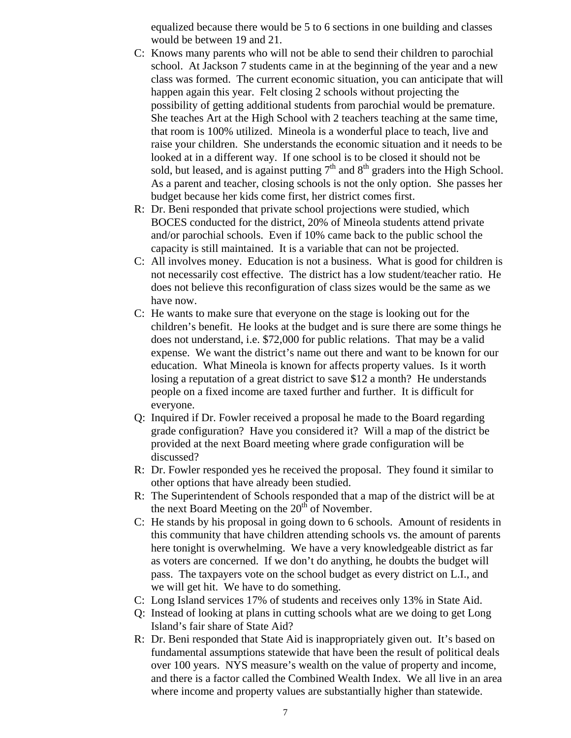equalized because there would be 5 to 6 sections in one building and classes would be between 19 and 21.

- C: Knows many parents who will not be able to send their children to parochial school. At Jackson 7 students came in at the beginning of the year and a new class was formed. The current economic situation, you can anticipate that will happen again this year. Felt closing 2 schools without projecting the possibility of getting additional students from parochial would be premature. She teaches Art at the High School with 2 teachers teaching at the same time, that room is 100% utilized. Mineola is a wonderful place to teach, live and raise your children. She understands the economic situation and it needs to be looked at in a different way. If one school is to be closed it should not be sold, but leased, and is against putting  $7<sup>th</sup>$  and  $8<sup>th</sup>$  graders into the High School. As a parent and teacher, closing schools is not the only option. She passes her budget because her kids come first, her district comes first.
- R: Dr. Beni responded that private school projections were studied, which BOCES conducted for the district, 20% of Mineola students attend private and/or parochial schools. Even if 10% came back to the public school the capacity is still maintained. It is a variable that can not be projected.
- C: All involves money. Education is not a business. What is good for children is not necessarily cost effective. The district has a low student/teacher ratio. He does not believe this reconfiguration of class sizes would be the same as we have now.
- C: He wants to make sure that everyone on the stage is looking out for the children's benefit. He looks at the budget and is sure there are some things he does not understand, i.e. \$72,000 for public relations. That may be a valid expense. We want the district's name out there and want to be known for our education. What Mineola is known for affects property values. Is it worth losing a reputation of a great district to save \$12 a month? He understands people on a fixed income are taxed further and further. It is difficult for everyone.
- Q: Inquired if Dr. Fowler received a proposal he made to the Board regarding grade configuration? Have you considered it? Will a map of the district be provided at the next Board meeting where grade configuration will be discussed?
- R: Dr. Fowler responded yes he received the proposal. They found it similar to other options that have already been studied.
- R: The Superintendent of Schools responded that a map of the district will be at the next Board Meeting on the  $20<sup>th</sup>$  of November.
- C: He stands by his proposal in going down to 6 schools. Amount of residents in this community that have children attending schools vs. the amount of parents here tonight is overwhelming. We have a very knowledgeable district as far as voters are concerned. If we don't do anything, he doubts the budget will pass. The taxpayers vote on the school budget as every district on L.I., and we will get hit. We have to do something.
- C: Long Island services 17% of students and receives only 13% in State Aid.
- Q: Instead of looking at plans in cutting schools what are we doing to get Long Island's fair share of State Aid?
- R: Dr. Beni responded that State Aid is inappropriately given out. It's based on fundamental assumptions statewide that have been the result of political deals over 100 years. NYS measure's wealth on the value of property and income, and there is a factor called the Combined Wealth Index. We all live in an area where income and property values are substantially higher than statewide.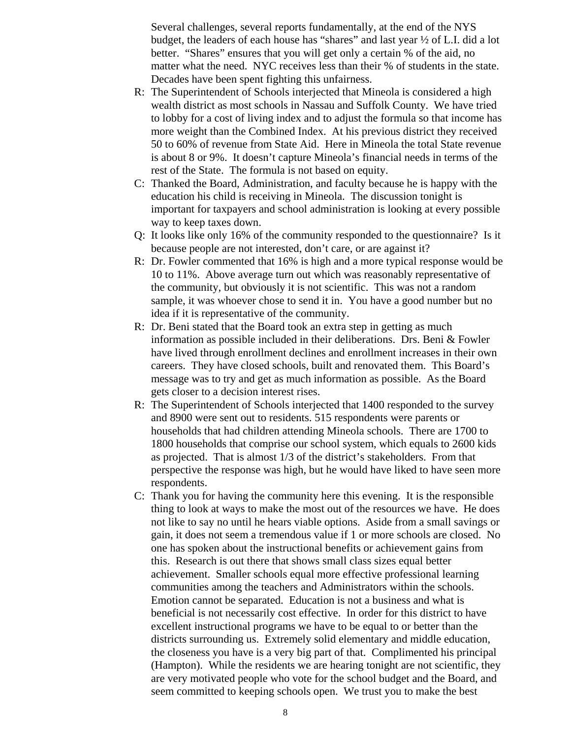Several challenges, several reports fundamentally, at the end of the NYS budget, the leaders of each house has "shares" and last year ½ of L.I. did a lot better. "Shares" ensures that you will get only a certain % of the aid, no matter what the need. NYC receives less than their % of students in the state. Decades have been spent fighting this unfairness.

- R: The Superintendent of Schools interjected that Mineola is considered a high wealth district as most schools in Nassau and Suffolk County. We have tried to lobby for a cost of living index and to adjust the formula so that income has more weight than the Combined Index. At his previous district they received 50 to 60% of revenue from State Aid. Here in Mineola the total State revenue is about 8 or 9%. It doesn't capture Mineola's financial needs in terms of the rest of the State. The formula is not based on equity.
- C: Thanked the Board, Administration, and faculty because he is happy with the education his child is receiving in Mineola. The discussion tonight is important for taxpayers and school administration is looking at every possible way to keep taxes down.
- Q: It looks like only 16% of the community responded to the questionnaire? Is it because people are not interested, don't care, or are against it?
- R: Dr. Fowler commented that 16% is high and a more typical response would be 10 to 11%. Above average turn out which was reasonably representative of the community, but obviously it is not scientific. This was not a random sample, it was whoever chose to send it in. You have a good number but no idea if it is representative of the community.
- R: Dr. Beni stated that the Board took an extra step in getting as much information as possible included in their deliberations. Drs. Beni & Fowler have lived through enrollment declines and enrollment increases in their own careers. They have closed schools, built and renovated them. This Board's message was to try and get as much information as possible. As the Board gets closer to a decision interest rises.
- R: The Superintendent of Schools interjected that 1400 responded to the survey and 8900 were sent out to residents. 515 respondents were parents or households that had children attending Mineola schools. There are 1700 to 1800 households that comprise our school system, which equals to 2600 kids as projected. That is almost 1/3 of the district's stakeholders. From that perspective the response was high, but he would have liked to have seen more respondents.
- C: Thank you for having the community here this evening. It is the responsible thing to look at ways to make the most out of the resources we have. He does not like to say no until he hears viable options. Aside from a small savings or gain, it does not seem a tremendous value if 1 or more schools are closed. No one has spoken about the instructional benefits or achievement gains from this. Research is out there that shows small class sizes equal better achievement. Smaller schools equal more effective professional learning communities among the teachers and Administrators within the schools. Emotion cannot be separated. Education is not a business and what is beneficial is not necessarily cost effective. In order for this district to have excellent instructional programs we have to be equal to or better than the districts surrounding us. Extremely solid elementary and middle education, the closeness you have is a very big part of that. Complimented his principal (Hampton). While the residents we are hearing tonight are not scientific, they are very motivated people who vote for the school budget and the Board, and seem committed to keeping schools open. We trust you to make the best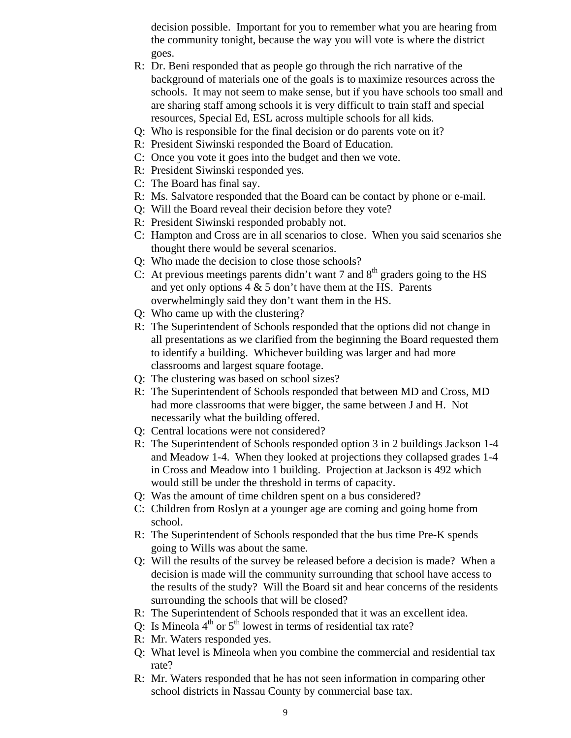decision possible. Important for you to remember what you are hearing from the community tonight, because the way you will vote is where the district goes.

- R: Dr. Beni responded that as people go through the rich narrative of the background of materials one of the goals is to maximize resources across the schools. It may not seem to make sense, but if you have schools too small and are sharing staff among schools it is very difficult to train staff and special resources, Special Ed, ESL across multiple schools for all kids.
- Q: Who is responsible for the final decision or do parents vote on it?
- R: President Siwinski responded the Board of Education.
- C: Once you vote it goes into the budget and then we vote.
- R: President Siwinski responded yes.
- C: The Board has final say.
- R: Ms. Salvatore responded that the Board can be contact by phone or e-mail.
- Q: Will the Board reveal their decision before they vote?
- R: President Siwinski responded probably not.
- C: Hampton and Cross are in all scenarios to close. When you said scenarios she thought there would be several scenarios.
- Q: Who made the decision to close those schools?
- C: At previous meetings parents didn't want 7 and  $8<sup>th</sup>$  graders going to the HS and yet only options  $4 \& 5$  don't have them at the HS. Parents overwhelmingly said they don't want them in the HS.
- Q: Who came up with the clustering?
- R: The Superintendent of Schools responded that the options did not change in all presentations as we clarified from the beginning the Board requested them to identify a building. Whichever building was larger and had more classrooms and largest square footage.
- Q: The clustering was based on school sizes?
- R: The Superintendent of Schools responded that between MD and Cross, MD had more classrooms that were bigger, the same between J and H. Not necessarily what the building offered.
- Q: Central locations were not considered?
- R: The Superintendent of Schools responded option 3 in 2 buildings Jackson 1-4 and Meadow 1-4. When they looked at projections they collapsed grades 1-4 in Cross and Meadow into 1 building. Projection at Jackson is 492 which would still be under the threshold in terms of capacity.
- Q: Was the amount of time children spent on a bus considered?
- C: Children from Roslyn at a younger age are coming and going home from school.
- R: The Superintendent of Schools responded that the bus time Pre-K spends going to Wills was about the same.
- Q: Will the results of the survey be released before a decision is made? When a decision is made will the community surrounding that school have access to the results of the study? Will the Board sit and hear concerns of the residents surrounding the schools that will be closed?
- R: The Superintendent of Schools responded that it was an excellent idea.
- O: Is Mineola  $4<sup>th</sup>$  or  $5<sup>th</sup>$  lowest in terms of residential tax rate?
- R: Mr. Waters responded yes.
- Q: What level is Mineola when you combine the commercial and residential tax rate?
- R: Mr. Waters responded that he has not seen information in comparing other school districts in Nassau County by commercial base tax.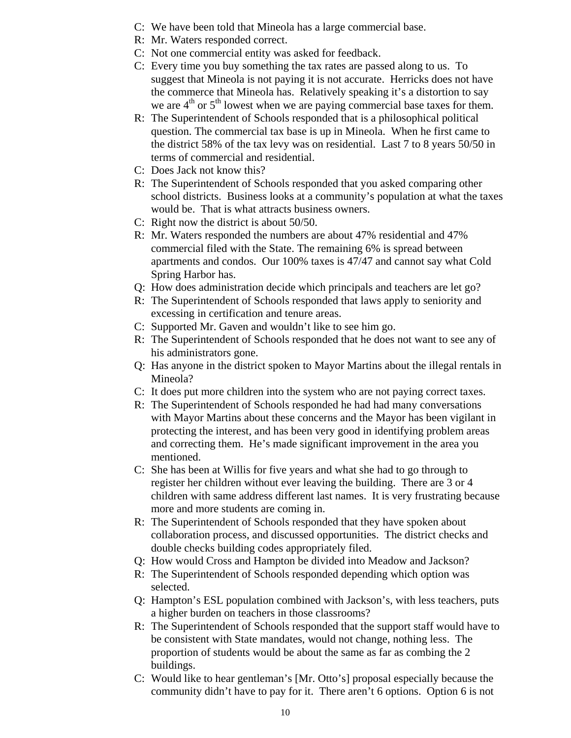- C: We have been told that Mineola has a large commercial base.
- R: Mr. Waters responded correct.
- C: Not one commercial entity was asked for feedback.
- C: Every time you buy something the tax rates are passed along to us. To suggest that Mineola is not paying it is not accurate. Herricks does not have the commerce that Mineola has. Relatively speaking it's a distortion to say we are  $4<sup>th</sup>$  or  $5<sup>th</sup>$  lowest when we are paying commercial base taxes for them.
- R: The Superintendent of Schools responded that is a philosophical political question. The commercial tax base is up in Mineola. When he first came to the district 58% of the tax levy was on residential. Last 7 to 8 years 50/50 in terms of commercial and residential.
- C: Does Jack not know this?
- R: The Superintendent of Schools responded that you asked comparing other school districts. Business looks at a community's population at what the taxes would be. That is what attracts business owners.
- C: Right now the district is about 50/50.
- R: Mr. Waters responded the numbers are about 47% residential and 47% commercial filed with the State. The remaining 6% is spread between apartments and condos. Our 100% taxes is 47/47 and cannot say what Cold Spring Harbor has.
- Q: How does administration decide which principals and teachers are let go?
- R: The Superintendent of Schools responded that laws apply to seniority and excessing in certification and tenure areas.
- C: Supported Mr. Gaven and wouldn't like to see him go.
- R: The Superintendent of Schools responded that he does not want to see any of his administrators gone.
- Q: Has anyone in the district spoken to Mayor Martins about the illegal rentals in Mineola?
- C: It does put more children into the system who are not paying correct taxes.
- R: The Superintendent of Schools responded he had had many conversations with Mayor Martins about these concerns and the Mayor has been vigilant in protecting the interest, and has been very good in identifying problem areas and correcting them. He's made significant improvement in the area you mentioned.
- C: She has been at Willis for five years and what she had to go through to register her children without ever leaving the building. There are 3 or 4 children with same address different last names. It is very frustrating because more and more students are coming in.
- R: The Superintendent of Schools responded that they have spoken about collaboration process, and discussed opportunities. The district checks and double checks building codes appropriately filed.
- Q: How would Cross and Hampton be divided into Meadow and Jackson?
- R: The Superintendent of Schools responded depending which option was selected.
- Q: Hampton's ESL population combined with Jackson's, with less teachers, puts a higher burden on teachers in those classrooms?
- R: The Superintendent of Schools responded that the support staff would have to be consistent with State mandates, would not change, nothing less. The proportion of students would be about the same as far as combing the 2 buildings.
- C: Would like to hear gentleman's [Mr. Otto's] proposal especially because the community didn't have to pay for it. There aren't 6 options. Option 6 is not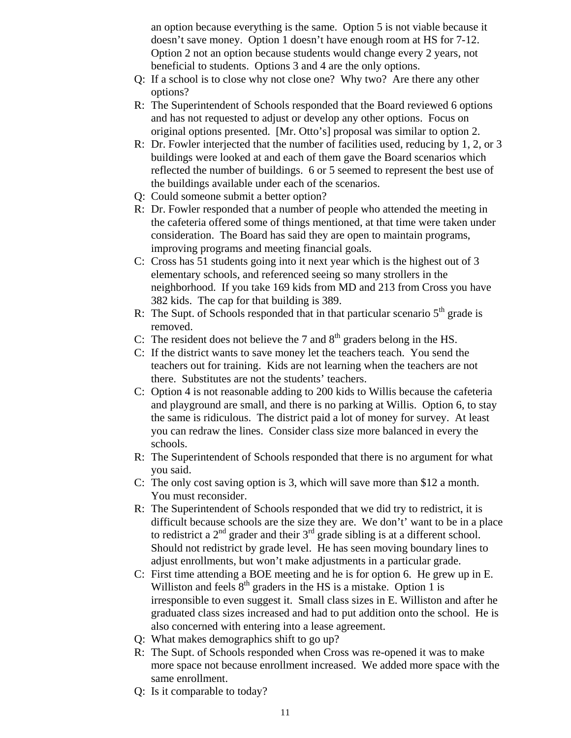an option because everything is the same. Option 5 is not viable because it doesn't save money. Option 1 doesn't have enough room at HS for 7-12. Option 2 not an option because students would change every 2 years, not beneficial to students. Options 3 and 4 are the only options.

- Q: If a school is to close why not close one? Why two? Are there any other options?
- R: The Superintendent of Schools responded that the Board reviewed 6 options and has not requested to adjust or develop any other options. Focus on original options presented. [Mr. Otto's] proposal was similar to option 2.
- R: Dr. Fowler interjected that the number of facilities used, reducing by 1, 2, or 3 buildings were looked at and each of them gave the Board scenarios which reflected the number of buildings. 6 or 5 seemed to represent the best use of the buildings available under each of the scenarios.
- Q: Could someone submit a better option?
- R: Dr. Fowler responded that a number of people who attended the meeting in the cafeteria offered some of things mentioned, at that time were taken under consideration. The Board has said they are open to maintain programs, improving programs and meeting financial goals.
- C: Cross has 51 students going into it next year which is the highest out of 3 elementary schools, and referenced seeing so many strollers in the neighborhood. If you take 169 kids from MD and 213 from Cross you have 382 kids. The cap for that building is 389.
- R: The Supt. of Schools responded that in that particular scenario  $5<sup>th</sup>$  grade is removed.
- C: The resident does not believe the 7 and  $8<sup>th</sup>$  graders belong in the HS.
- C: If the district wants to save money let the teachers teach. You send the teachers out for training. Kids are not learning when the teachers are not there. Substitutes are not the students' teachers.
- C: Option 4 is not reasonable adding to 200 kids to Willis because the cafeteria and playground are small, and there is no parking at Willis. Option 6, to stay the same is ridiculous. The district paid a lot of money for survey. At least you can redraw the lines. Consider class size more balanced in every the schools.
- R: The Superintendent of Schools responded that there is no argument for what you said.
- C: The only cost saving option is 3, which will save more than \$12 a month. You must reconsider.
- R: The Superintendent of Schools responded that we did try to redistrict, it is difficult because schools are the size they are. We don't' want to be in a place to redistrict a  $2<sup>nd</sup>$  grader and their  $3<sup>rd</sup>$  grade sibling is at a different school. Should not redistrict by grade level. He has seen moving boundary lines to adjust enrollments, but won't make adjustments in a particular grade.
- C: First time attending a BOE meeting and he is for option 6. He grew up in E. Williston and feels  $8<sup>th</sup>$  graders in the HS is a mistake. Option 1 is irresponsible to even suggest it. Small class sizes in E. Williston and after he graduated class sizes increased and had to put addition onto the school. He is also concerned with entering into a lease agreement.
- Q: What makes demographics shift to go up?
- R: The Supt. of Schools responded when Cross was re-opened it was to make more space not because enrollment increased. We added more space with the same enrollment.
- Q: Is it comparable to today?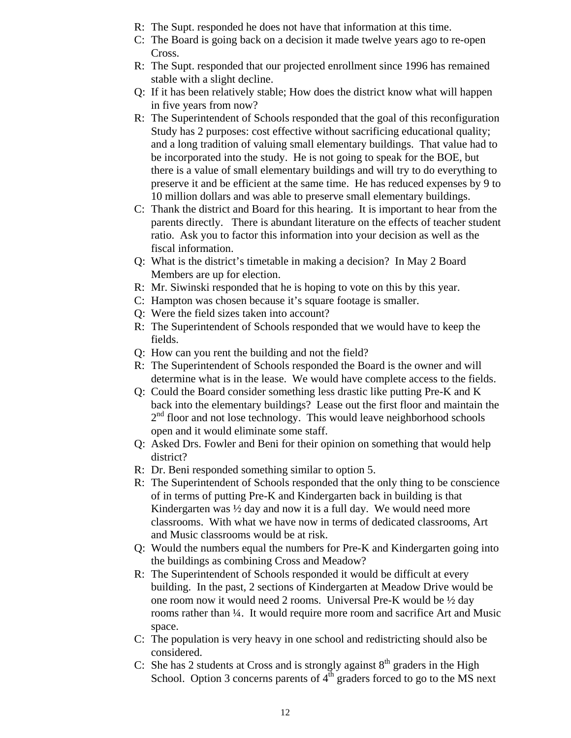- R: The Supt. responded he does not have that information at this time.
- C: The Board is going back on a decision it made twelve years ago to re-open Cross.
- R: The Supt. responded that our projected enrollment since 1996 has remained stable with a slight decline.
- Q: If it has been relatively stable; How does the district know what will happen in five years from now?
- R: The Superintendent of Schools responded that the goal of this reconfiguration Study has 2 purposes: cost effective without sacrificing educational quality; and a long tradition of valuing small elementary buildings. That value had to be incorporated into the study. He is not going to speak for the BOE, but there is a value of small elementary buildings and will try to do everything to preserve it and be efficient at the same time. He has reduced expenses by 9 to 10 million dollars and was able to preserve small elementary buildings.
- C: Thank the district and Board for this hearing. It is important to hear from the parents directly. There is abundant literature on the effects of teacher student ratio. Ask you to factor this information into your decision as well as the fiscal information.
- Q: What is the district's timetable in making a decision? In May 2 Board Members are up for election.
- R: Mr. Siwinski responded that he is hoping to vote on this by this year.
- C: Hampton was chosen because it's square footage is smaller.
- Q: Were the field sizes taken into account?
- R: The Superintendent of Schools responded that we would have to keep the fields.
- Q: How can you rent the building and not the field?
- R: The Superintendent of Schools responded the Board is the owner and will determine what is in the lease. We would have complete access to the fields.
- Q: Could the Board consider something less drastic like putting Pre-K and K back into the elementary buildings? Lease out the first floor and maintain the  $2<sup>nd</sup>$  floor and not lose technology. This would leave neighborhood schools open and it would eliminate some staff.
- Q: Asked Drs. Fowler and Beni for their opinion on something that would help district?
- R: Dr. Beni responded something similar to option 5.
- R: The Superintendent of Schools responded that the only thing to be conscience of in terms of putting Pre-K and Kindergarten back in building is that Kindergarten was ½ day and now it is a full day. We would need more classrooms. With what we have now in terms of dedicated classrooms, Art and Music classrooms would be at risk.
- Q: Would the numbers equal the numbers for Pre-K and Kindergarten going into the buildings as combining Cross and Meadow?
- R: The Superintendent of Schools responded it would be difficult at every building. In the past, 2 sections of Kindergarten at Meadow Drive would be one room now it would need 2 rooms. Universal Pre-K would be ½ day rooms rather than ¼. It would require more room and sacrifice Art and Music space.
- C: The population is very heavy in one school and redistricting should also be considered.
- C: She has 2 students at Cross and is strongly against  $8<sup>th</sup>$  graders in the High School. Option 3 concerns parents of  $4<sup>th</sup>$  graders forced to go to the MS next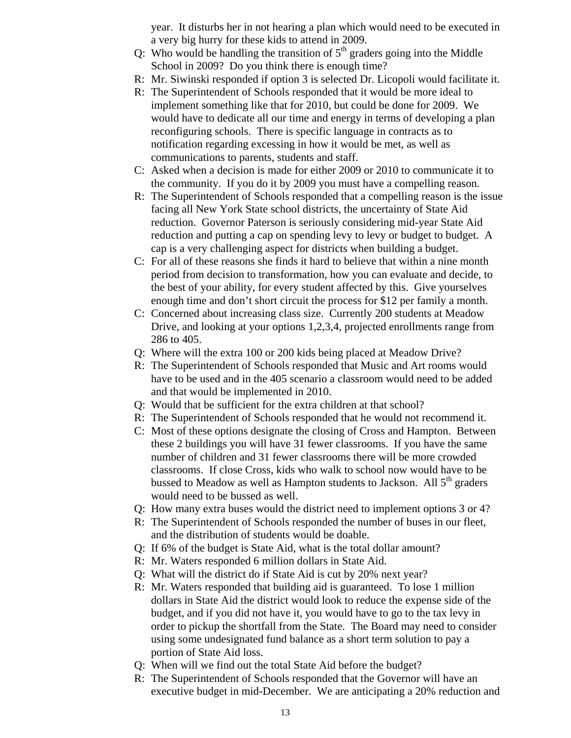year. It disturbs her in not hearing a plan which would need to be executed in a very big hurry for these kids to attend in 2009.

- Q: Who would be handling the transition of  $5<sup>th</sup>$  graders going into the Middle School in 2009? Do you think there is enough time?
- R: Mr. Siwinski responded if option 3 is selected Dr. Licopoli would facilitate it.
- R: The Superintendent of Schools responded that it would be more ideal to implement something like that for 2010, but could be done for 2009. We would have to dedicate all our time and energy in terms of developing a plan reconfiguring schools. There is specific language in contracts as to notification regarding excessing in how it would be met, as well as communications to parents, students and staff.
- C: Asked when a decision is made for either 2009 or 2010 to communicate it to the community. If you do it by 2009 you must have a compelling reason.
- R: The Superintendent of Schools responded that a compelling reason is the issue facing all New York State school districts, the uncertainty of State Aid reduction. Governor Paterson is seriously considering mid-year State Aid reduction and putting a cap on spending levy to levy or budget to budget. A cap is a very challenging aspect for districts when building a budget.
- C: For all of these reasons she finds it hard to believe that within a nine month period from decision to transformation, how you can evaluate and decide, to the best of your ability, for every student affected by this. Give yourselves enough time and don't short circuit the process for \$12 per family a month.
- C: Concerned about increasing class size. Currently 200 students at Meadow Drive, and looking at your options 1,2,3,4, projected enrollments range from 286 to 405.
- Q: Where will the extra 100 or 200 kids being placed at Meadow Drive?
- R: The Superintendent of Schools responded that Music and Art rooms would have to be used and in the 405 scenario a classroom would need to be added and that would be implemented in 2010.
- Q: Would that be sufficient for the extra children at that school?
- R: The Superintendent of Schools responded that he would not recommend it.
- C: Most of these options designate the closing of Cross and Hampton. Between these 2 buildings you will have 31 fewer classrooms. If you have the same number of children and 31 fewer classrooms there will be more crowded classrooms. If close Cross, kids who walk to school now would have to be bussed to Meadow as well as Hampton students to Jackson. All  $5<sup>th</sup>$  graders would need to be bussed as well.
- Q: How many extra buses would the district need to implement options 3 or 4?
- R: The Superintendent of Schools responded the number of buses in our fleet, and the distribution of students would be doable.
- Q: If 6% of the budget is State Aid, what is the total dollar amount?
- R: Mr. Waters responded 6 million dollars in State Aid.
- Q: What will the district do if State Aid is cut by 20% next year?
- R: Mr. Waters responded that building aid is guaranteed. To lose 1 million dollars in State Aid the district would look to reduce the expense side of the budget, and if you did not have it, you would have to go to the tax levy in order to pickup the shortfall from the State. The Board may need to consider using some undesignated fund balance as a short term solution to pay a portion of State Aid loss.
- Q: When will we find out the total State Aid before the budget?
- R: The Superintendent of Schools responded that the Governor will have an executive budget in mid-December. We are anticipating a 20% reduction and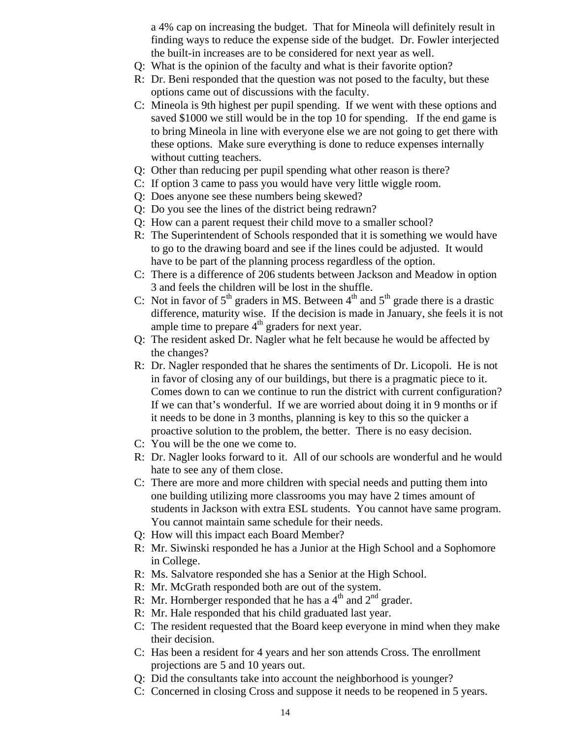a 4% cap on increasing the budget. That for Mineola will definitely result in finding ways to reduce the expense side of the budget. Dr. Fowler interjected the built-in increases are to be considered for next year as well.

- Q: What is the opinion of the faculty and what is their favorite option?
- R: Dr. Beni responded that the question was not posed to the faculty, but these options came out of discussions with the faculty.
- C: Mineola is 9th highest per pupil spending. If we went with these options and saved \$1000 we still would be in the top 10 for spending. If the end game is to bring Mineola in line with everyone else we are not going to get there with these options. Make sure everything is done to reduce expenses internally without cutting teachers.
- Q: Other than reducing per pupil spending what other reason is there?
- C: If option 3 came to pass you would have very little wiggle room.
- Q: Does anyone see these numbers being skewed?
- Q: Do you see the lines of the district being redrawn?
- Q: How can a parent request their child move to a smaller school?
- R: The Superintendent of Schools responded that it is something we would have to go to the drawing board and see if the lines could be adjusted. It would have to be part of the planning process regardless of the option.
- C: There is a difference of 206 students between Jackson and Meadow in option 3 and feels the children will be lost in the shuffle.
- C: Not in favor of  $5<sup>th</sup>$  graders in MS. Between  $4<sup>th</sup>$  and  $5<sup>th</sup>$  grade there is a drastic difference, maturity wise. If the decision is made in January, she feels it is not ample time to prepare  $4<sup>th</sup>$  graders for next year.
- Q: The resident asked Dr. Nagler what he felt because he would be affected by the changes?
- R: Dr. Nagler responded that he shares the sentiments of Dr. Licopoli. He is not in favor of closing any of our buildings, but there is a pragmatic piece to it. Comes down to can we continue to run the district with current configuration? If we can that's wonderful. If we are worried about doing it in 9 months or if it needs to be done in 3 months, planning is key to this so the quicker a proactive solution to the problem, the better. There is no easy decision.
- C: You will be the one we come to.
- R: Dr. Nagler looks forward to it. All of our schools are wonderful and he would hate to see any of them close.
- C: There are more and more children with special needs and putting them into one building utilizing more classrooms you may have 2 times amount of students in Jackson with extra ESL students. You cannot have same program. You cannot maintain same schedule for their needs.
- Q: How will this impact each Board Member?
- R: Mr. Siwinski responded he has a Junior at the High School and a Sophomore in College.
- R: Ms. Salvatore responded she has a Senior at the High School.
- R: Mr. McGrath responded both are out of the system.
- R: Mr. Hornberger responded that he has a  $4<sup>th</sup>$  and  $2<sup>nd</sup>$  grader.
- R: Mr. Hale responded that his child graduated last year.
- C: The resident requested that the Board keep everyone in mind when they make their decision.
- C: Has been a resident for 4 years and her son attends Cross. The enrollment projections are 5 and 10 years out.
- Q: Did the consultants take into account the neighborhood is younger?
- C: Concerned in closing Cross and suppose it needs to be reopened in 5 years.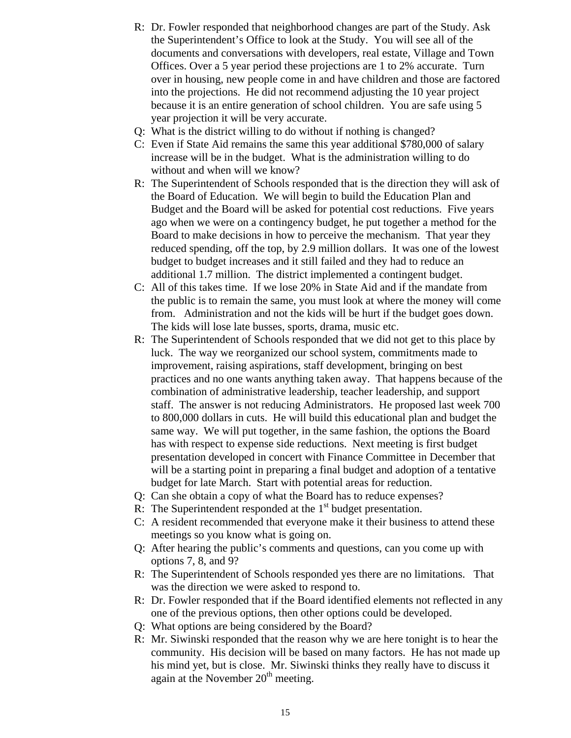- R: Dr. Fowler responded that neighborhood changes are part of the Study. Ask the Superintendent's Office to look at the Study. You will see all of the documents and conversations with developers, real estate, Village and Town Offices. Over a 5 year period these projections are 1 to 2% accurate. Turn over in housing, new people come in and have children and those are factored into the projections. He did not recommend adjusting the 10 year project because it is an entire generation of school children. You are safe using 5 year projection it will be very accurate.
- Q: What is the district willing to do without if nothing is changed?
- C: Even if State Aid remains the same this year additional \$780,000 of salary increase will be in the budget. What is the administration willing to do without and when will we know?
- R: The Superintendent of Schools responded that is the direction they will ask of the Board of Education. We will begin to build the Education Plan and Budget and the Board will be asked for potential cost reductions. Five years ago when we were on a contingency budget, he put together a method for the Board to make decisions in how to perceive the mechanism. That year they reduced spending, off the top, by 2.9 million dollars. It was one of the lowest budget to budget increases and it still failed and they had to reduce an additional 1.7 million. The district implemented a contingent budget.
- C: All of this takes time. If we lose 20% in State Aid and if the mandate from the public is to remain the same, you must look at where the money will come from. Administration and not the kids will be hurt if the budget goes down. The kids will lose late busses, sports, drama, music etc.
- R: The Superintendent of Schools responded that we did not get to this place by luck. The way we reorganized our school system, commitments made to improvement, raising aspirations, staff development, bringing on best practices and no one wants anything taken away. That happens because of the combination of administrative leadership, teacher leadership, and support staff. The answer is not reducing Administrators. He proposed last week 700 to 800,000 dollars in cuts. He will build this educational plan and budget the same way. We will put together, in the same fashion, the options the Board has with respect to expense side reductions. Next meeting is first budget presentation developed in concert with Finance Committee in December that will be a starting point in preparing a final budget and adoption of a tentative budget for late March. Start with potential areas for reduction.
- Q: Can she obtain a copy of what the Board has to reduce expenses?
- R: The Superintendent responded at the  $1<sup>st</sup>$  budget presentation.
- C: A resident recommended that everyone make it their business to attend these meetings so you know what is going on.
- Q: After hearing the public's comments and questions, can you come up with options 7, 8, and 9?
- R: The Superintendent of Schools responded yes there are no limitations. That was the direction we were asked to respond to.
- R: Dr. Fowler responded that if the Board identified elements not reflected in any one of the previous options, then other options could be developed.
- Q: What options are being considered by the Board?
- R: Mr. Siwinski responded that the reason why we are here tonight is to hear the community. His decision will be based on many factors. He has not made up his mind yet, but is close. Mr. Siwinski thinks they really have to discuss it again at the November  $20<sup>th</sup>$  meeting.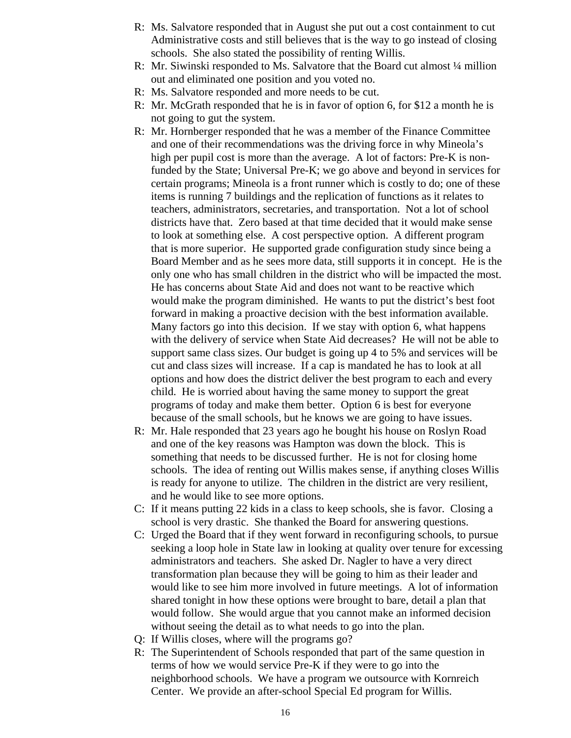- R: Ms. Salvatore responded that in August she put out a cost containment to cut Administrative costs and still believes that is the way to go instead of closing schools. She also stated the possibility of renting Willis.
- R: Mr. Siwinski responded to Ms. Salvatore that the Board cut almost ¼ million out and eliminated one position and you voted no.
- R: Ms. Salvatore responded and more needs to be cut.
- R: Mr. McGrath responded that he is in favor of option 6, for \$12 a month he is not going to gut the system.
- R: Mr. Hornberger responded that he was a member of the Finance Committee and one of their recommendations was the driving force in why Mineola's high per pupil cost is more than the average. A lot of factors: Pre-K is nonfunded by the State; Universal Pre-K; we go above and beyond in services for certain programs; Mineola is a front runner which is costly to do; one of these items is running 7 buildings and the replication of functions as it relates to teachers, administrators, secretaries, and transportation. Not a lot of school districts have that. Zero based at that time decided that it would make sense to look at something else. A cost perspective option. A different program that is more superior. He supported grade configuration study since being a Board Member and as he sees more data, still supports it in concept. He is the only one who has small children in the district who will be impacted the most. He has concerns about State Aid and does not want to be reactive which would make the program diminished. He wants to put the district's best foot forward in making a proactive decision with the best information available. Many factors go into this decision. If we stay with option 6, what happens with the delivery of service when State Aid decreases? He will not be able to support same class sizes. Our budget is going up 4 to 5% and services will be cut and class sizes will increase. If a cap is mandated he has to look at all options and how does the district deliver the best program to each and every child. He is worried about having the same money to support the great programs of today and make them better. Option 6 is best for everyone because of the small schools, but he knows we are going to have issues.
- R: Mr. Hale responded that 23 years ago he bought his house on Roslyn Road and one of the key reasons was Hampton was down the block. This is something that needs to be discussed further. He is not for closing home schools. The idea of renting out Willis makes sense, if anything closes Willis is ready for anyone to utilize. The children in the district are very resilient, and he would like to see more options.
- C: If it means putting 22 kids in a class to keep schools, she is favor. Closing a school is very drastic. She thanked the Board for answering questions.
- C: Urged the Board that if they went forward in reconfiguring schools, to pursue seeking a loop hole in State law in looking at quality over tenure for excessing administrators and teachers. She asked Dr. Nagler to have a very direct transformation plan because they will be going to him as their leader and would like to see him more involved in future meetings. A lot of information shared tonight in how these options were brought to bare, detail a plan that would follow. She would argue that you cannot make an informed decision without seeing the detail as to what needs to go into the plan.
- Q: If Willis closes, where will the programs go?
- R: The Superintendent of Schools responded that part of the same question in terms of how we would service Pre-K if they were to go into the neighborhood schools. We have a program we outsource with Kornreich Center. We provide an after-school Special Ed program for Willis.